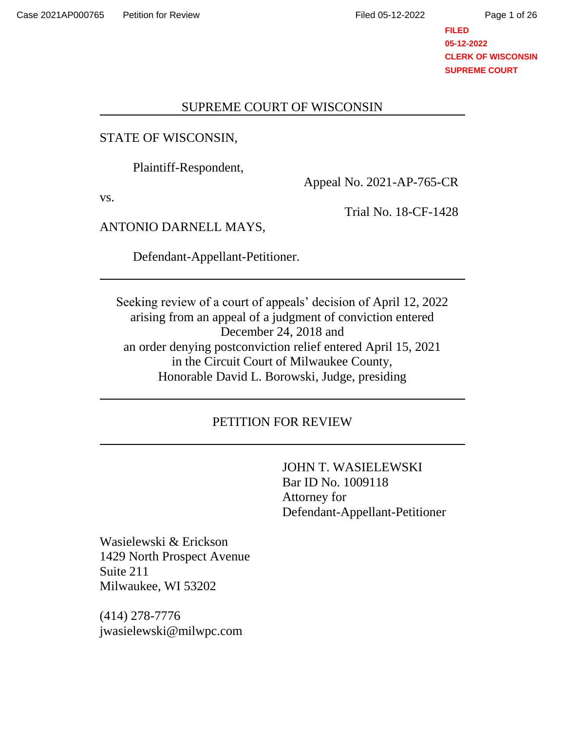Page 1 of 26

## **FILED 05-12-2022 CLERK OF WISCONSIN SUPREME COURT**

## SUPREME COURT OF WISCONSIN

# STATE OF WISCONSIN,

Plaintiff-Respondent,

vs.

Appeal No. 2021-AP-765-CR

Trial No. 18-CF-1428

ANTONIO DARNELL MAYS,

Defendant-Appellant-Petitioner.

Seeking review of a court of appeals' decision of April 12, 2022 arising from an appeal of a judgment of conviction entered December 24, 2018 and an order denying postconviction relief entered April 15, 2021 in the Circuit Court of Milwaukee County, Honorable David L. Borowski, Judge, presiding

# PETITION FOR REVIEW

JOHN T. WASIELEWSKI Bar ID No. 1009118 Attorney for Defendant-Appellant-Petitioner

Wasielewski & Erickson 1429 North Prospect Avenue Suite 211 Milwaukee, WI 53202

(414) 278-7776 jwasielewski@milwpc.com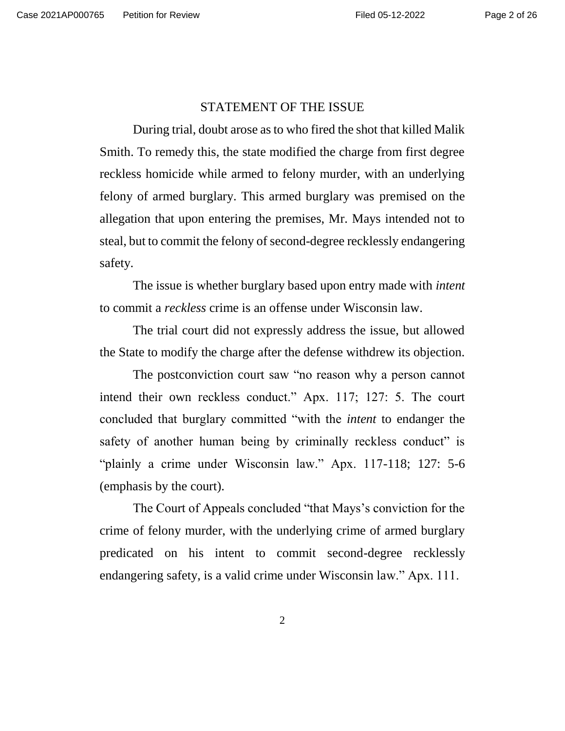### STATEMENT OF THE ISSUE

During trial, doubt arose as to who fired the shot that killed Malik Smith. To remedy this, the state modified the charge from first degree reckless homicide while armed to felony murder, with an underlying felony of armed burglary. This armed burglary was premised on the allegation that upon entering the premises, Mr. Mays intended not to steal, but to commit the felony of second-degree recklessly endangering safety.

The issue is whether burglary based upon entry made with *intent* to commit a *reckless* crime is an offense under Wisconsin law.

The trial court did not expressly address the issue, but allowed the State to modify the charge after the defense withdrew its objection.

The postconviction court saw "no reason why a person cannot intend their own reckless conduct." Apx. 117; 127: 5. The court concluded that burglary committed "with the *intent* to endanger the safety of another human being by criminally reckless conduct" is "plainly a crime under Wisconsin law." Apx. 117-118; 127: 5-6 (emphasis by the court).

The Court of Appeals concluded "that Mays's conviction for the crime of felony murder, with the underlying crime of armed burglary predicated on his intent to commit second-degree recklessly endangering safety, is a valid crime under Wisconsin law." Apx. 111.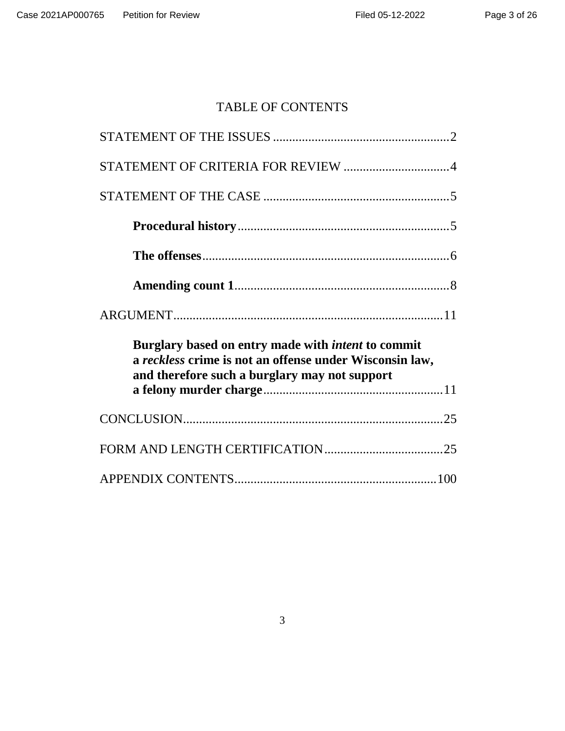# TABLE OF CONTENTS

| STATEMENT OF CRITERIA FOR REVIEW 4                                                                                                                                    |
|-----------------------------------------------------------------------------------------------------------------------------------------------------------------------|
|                                                                                                                                                                       |
|                                                                                                                                                                       |
|                                                                                                                                                                       |
|                                                                                                                                                                       |
|                                                                                                                                                                       |
| Burglary based on entry made with <i>intent</i> to commit<br>a reckless crime is not an offense under Wisconsin law,<br>and therefore such a burglary may not support |
|                                                                                                                                                                       |
|                                                                                                                                                                       |
|                                                                                                                                                                       |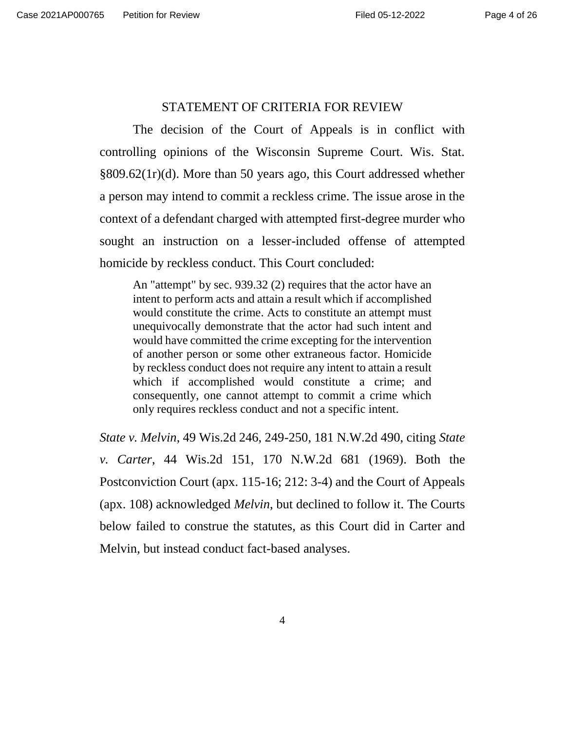### STATEMENT OF CRITERIA FOR REVIEW

The decision of the Court of Appeals is in conflict with controlling opinions of the Wisconsin Supreme Court. Wis. Stat. §809.62(1r)(d). More than 50 years ago, this Court addressed whether a person may intend to commit a reckless crime. The issue arose in the context of a defendant charged with attempted first-degree murder who sought an instruction on a lesser-included offense of attempted homicide by reckless conduct. This Court concluded:

An "attempt" by sec. 939.32 (2) requires that the actor have an intent to perform acts and attain a result which if accomplished would constitute the crime. Acts to constitute an attempt must unequivocally demonstrate that the actor had such intent and would have committed the crime excepting for the intervention of another person or some other extraneous factor. Homicide by reckless conduct does not require any intent to attain a result which if accomplished would constitute a crime; and consequently, one cannot attempt to commit a crime which only requires reckless conduct and not a specific intent.

*State v. Melvin*, 49 Wis.2d 246, 249-250, 181 N.W.2d 490, citing *State v. Carter*, 44 Wis.2d 151, 170 N.W.2d 681 (1969). Both the Postconviction Court (apx. 115-16; 212: 3-4) and the Court of Appeals (apx. 108) acknowledged *Melvin*, but declined to follow it. The Courts below failed to construe the statutes, as this Court did in Carter and Melvin, but instead conduct fact-based analyses.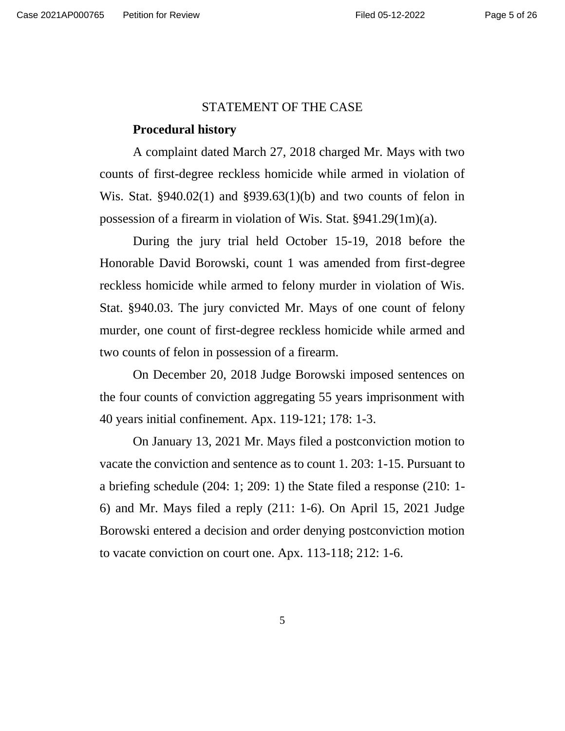### STATEMENT OF THE CASE

#### **Procedural history**

A complaint dated March 27, 2018 charged Mr. Mays with two counts of first-degree reckless homicide while armed in violation of Wis. Stat. §940.02(1) and §939.63(1)(b) and two counts of felon in possession of a firearm in violation of Wis. Stat. §941.29(1m)(a).

During the jury trial held October 15-19, 2018 before the Honorable David Borowski, count 1 was amended from first-degree reckless homicide while armed to felony murder in violation of Wis. Stat. §940.03. The jury convicted Mr. Mays of one count of felony murder, one count of first-degree reckless homicide while armed and two counts of felon in possession of a firearm.

On December 20, 2018 Judge Borowski imposed sentences on the four counts of conviction aggregating 55 years imprisonment with 40 years initial confinement. Apx. 119-121; 178: 1-3.

On January 13, 2021 Mr. Mays filed a postconviction motion to vacate the conviction and sentence as to count 1. 203: 1-15. Pursuant to a briefing schedule (204: 1; 209: 1) the State filed a response (210: 1- 6) and Mr. Mays filed a reply (211: 1-6). On April 15, 2021 Judge Borowski entered a decision and order denying postconviction motion to vacate conviction on court one. Apx. 113-118; 212: 1-6.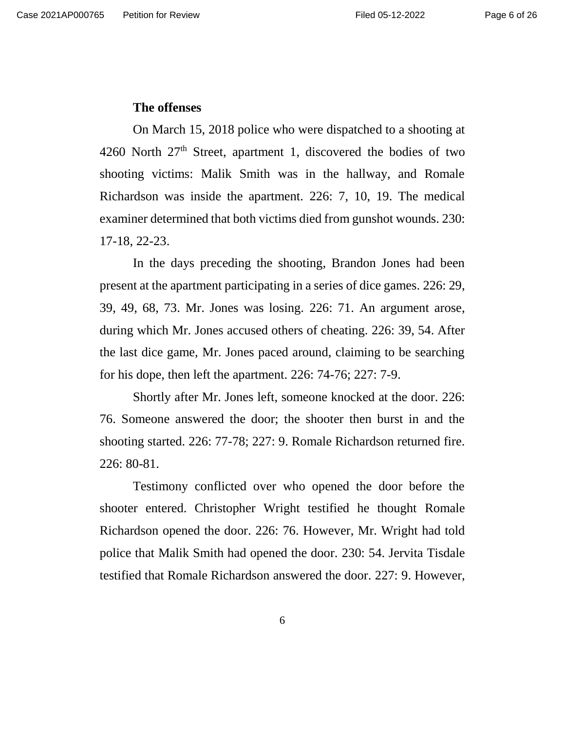### **The offenses**

On March 15, 2018 police who were dispatched to a shooting at 4260 North  $27<sup>th</sup>$  Street, apartment 1, discovered the bodies of two shooting victims: Malik Smith was in the hallway, and Romale Richardson was inside the apartment. 226: 7, 10, 19. The medical examiner determined that both victims died from gunshot wounds. 230: 17-18, 22-23.

In the days preceding the shooting, Brandon Jones had been present at the apartment participating in a series of dice games. 226: 29, 39, 49, 68, 73. Mr. Jones was losing. 226: 71. An argument arose, during which Mr. Jones accused others of cheating. 226: 39, 54. After the last dice game, Mr. Jones paced around, claiming to be searching for his dope, then left the apartment. 226: 74-76; 227: 7-9.

Shortly after Mr. Jones left, someone knocked at the door. 226: 76. Someone answered the door; the shooter then burst in and the shooting started. 226: 77-78; 227: 9. Romale Richardson returned fire. 226: 80-81.

Testimony conflicted over who opened the door before the shooter entered. Christopher Wright testified he thought Romale Richardson opened the door. 226: 76. However, Mr. Wright had told police that Malik Smith had opened the door. 230: 54. Jervita Tisdale testified that Romale Richardson answered the door. 227: 9. However,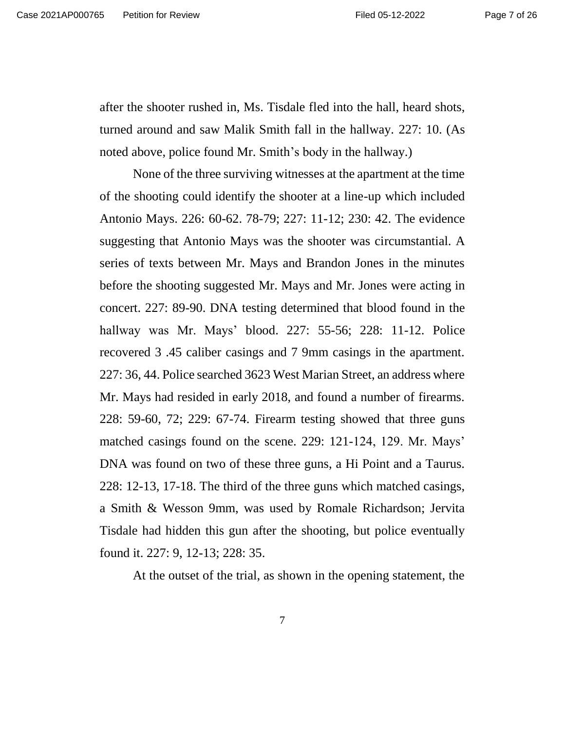after the shooter rushed in, Ms. Tisdale fled into the hall, heard shots, turned around and saw Malik Smith fall in the hallway. 227: 10. (As noted above, police found Mr. Smith's body in the hallway.)

None of the three surviving witnesses at the apartment at the time of the shooting could identify the shooter at a line-up which included Antonio Mays. 226: 60-62. 78-79; 227: 11-12; 230: 42. The evidence suggesting that Antonio Mays was the shooter was circumstantial. A series of texts between Mr. Mays and Brandon Jones in the minutes before the shooting suggested Mr. Mays and Mr. Jones were acting in concert. 227: 89-90. DNA testing determined that blood found in the hallway was Mr. Mays' blood. 227: 55-56; 228: 11-12. Police recovered 3 .45 caliber casings and 7 9mm casings in the apartment. 227: 36, 44. Police searched 3623 West Marian Street, an address where Mr. Mays had resided in early 2018, and found a number of firearms. 228: 59-60, 72; 229: 67-74. Firearm testing showed that three guns matched casings found on the scene. 229: 121-124, 129. Mr. Mays' DNA was found on two of these three guns, a Hi Point and a Taurus. 228: 12-13, 17-18. The third of the three guns which matched casings, a Smith & Wesson 9mm, was used by Romale Richardson; Jervita Tisdale had hidden this gun after the shooting, but police eventually found it. 227: 9, 12-13; 228: 35.

At the outset of the trial, as shown in the opening statement, the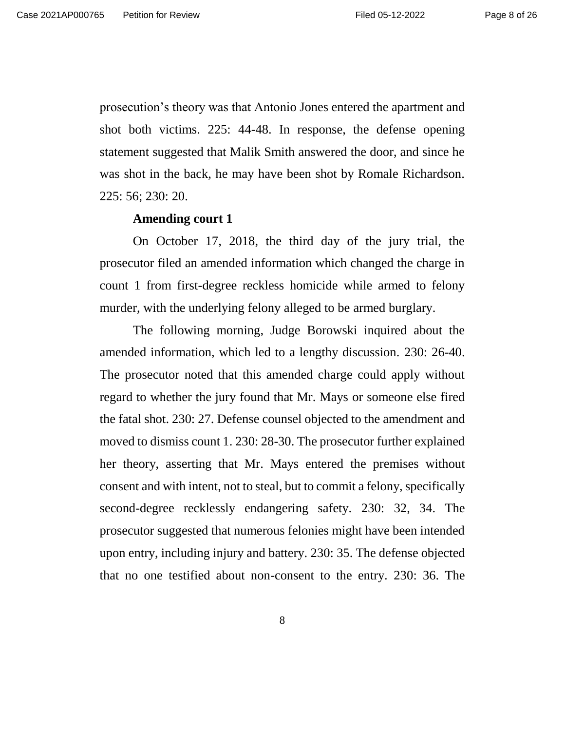prosecution's theory was that Antonio Jones entered the apartment and shot both victims. 225: 44-48. In response, the defense opening statement suggested that Malik Smith answered the door, and since he was shot in the back, he may have been shot by Romale Richardson. 225: 56; 230: 20.

#### **Amending court 1**

On October 17, 2018, the third day of the jury trial, the prosecutor filed an amended information which changed the charge in count 1 from first-degree reckless homicide while armed to felony murder, with the underlying felony alleged to be armed burglary.

The following morning, Judge Borowski inquired about the amended information, which led to a lengthy discussion. 230: 26-40. The prosecutor noted that this amended charge could apply without regard to whether the jury found that Mr. Mays or someone else fired the fatal shot. 230: 27. Defense counsel objected to the amendment and moved to dismiss count 1. 230: 28-30. The prosecutor further explained her theory, asserting that Mr. Mays entered the premises without consent and with intent, not to steal, but to commit a felony, specifically second-degree recklessly endangering safety. 230: 32, 34. The prosecutor suggested that numerous felonies might have been intended upon entry, including injury and battery. 230: 35. The defense objected that no one testified about non-consent to the entry. 230: 36. The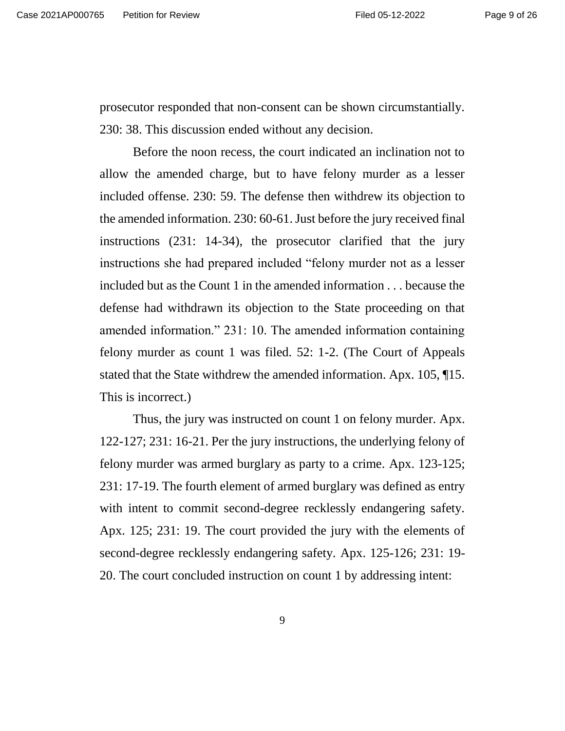prosecutor responded that non-consent can be shown circumstantially. 230: 38. This discussion ended without any decision.

Before the noon recess, the court indicated an inclination not to allow the amended charge, but to have felony murder as a lesser included offense. 230: 59. The defense then withdrew its objection to the amended information. 230: 60-61.Just before the jury received final instructions (231: 14-34), the prosecutor clarified that the jury instructions she had prepared included "felony murder not as a lesser included but as the Count 1 in the amended information . . . because the defense had withdrawn its objection to the State proceeding on that amended information." 231: 10. The amended information containing felony murder as count 1 was filed. 52: 1-2. (The Court of Appeals stated that the State withdrew the amended information. Apx. 105, ¶15. This is incorrect.)

Thus, the jury was instructed on count 1 on felony murder. Apx. 122-127; 231: 16-21. Per the jury instructions, the underlying felony of felony murder was armed burglary as party to a crime. Apx. 123-125; 231: 17-19. The fourth element of armed burglary was defined as entry with intent to commit second-degree recklessly endangering safety. Apx. 125; 231: 19. The court provided the jury with the elements of second-degree recklessly endangering safety. Apx. 125-126; 231: 19- 20. The court concluded instruction on count 1 by addressing intent: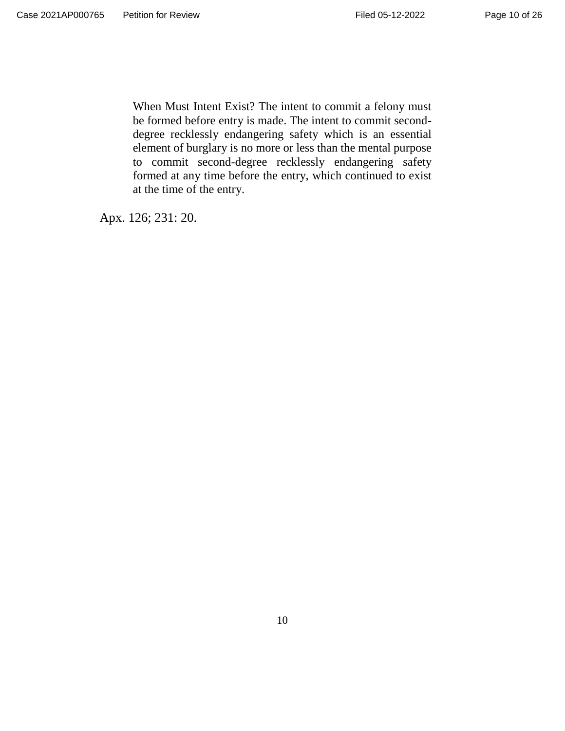When Must Intent Exist? The intent to commit a felony must be formed before entry is made. The intent to commit seconddegree recklessly endangering safety which is an essential element of burglary is no more or less than the mental purpose to commit second-degree recklessly endangering safety formed at any time before the entry, which continued to exist at the time of the entry.

Apx. 126; 231: 20.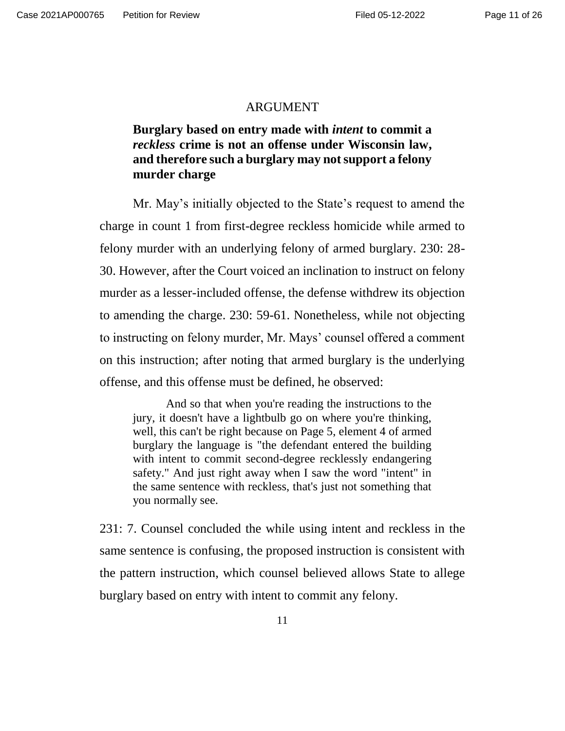#### **ARGUMENT**

# **Burglary based on entry made with** *intent* **to commit a**  *reckless* **crime is not an offense under Wisconsin law, and therefore such a burglary may not support a felony murder charge**

Mr. May's initially objected to the State's request to amend the charge in count 1 from first-degree reckless homicide while armed to felony murder with an underlying felony of armed burglary. 230: 28- 30. However, after the Court voiced an inclination to instruct on felony murder as a lesser-included offense, the defense withdrew its objection to amending the charge. 230: 59-61. Nonetheless, while not objecting to instructing on felony murder, Mr. Mays' counsel offered a comment on this instruction; after noting that armed burglary is the underlying offense, and this offense must be defined, he observed:

And so that when you're reading the instructions to the jury, it doesn't have a lightbulb go on where you're thinking, well, this can't be right because on Page 5, element 4 of armed burglary the language is "the defendant entered the building with intent to commit second-degree recklessly endangering safety." And just right away when I saw the word "intent" in the same sentence with reckless, that's just not something that you normally see.

231: 7. Counsel concluded the while using intent and reckless in the same sentence is confusing, the proposed instruction is consistent with the pattern instruction, which counsel believed allows State to allege burglary based on entry with intent to commit any felony.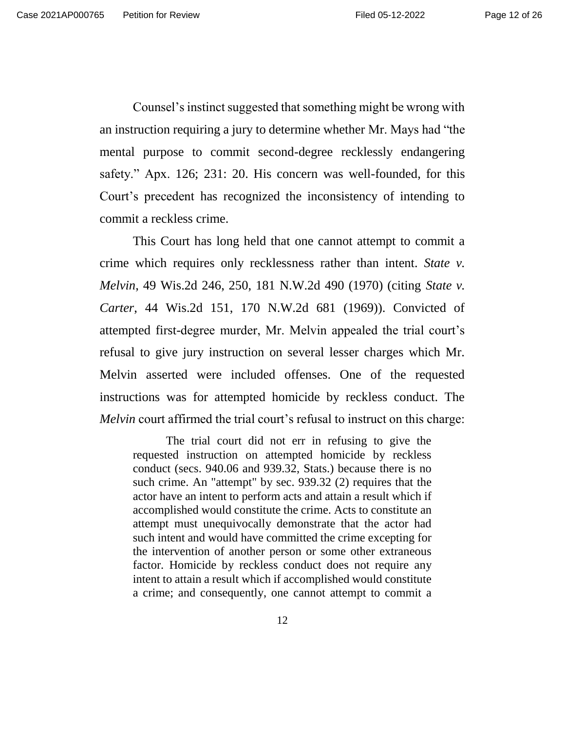Counsel's instinct suggested that something might be wrong with an instruction requiring a jury to determine whether Mr. Mays had "the mental purpose to commit second-degree recklessly endangering safety." Apx. 126; 231: 20. His concern was well-founded, for this Court's precedent has recognized the inconsistency of intending to commit a reckless crime.

This Court has long held that one cannot attempt to commit a crime which requires only recklessness rather than intent. *State v. Melvin*, 49 Wis.2d 246, 250, 181 N.W.2d 490 (1970) (citing *State v. Carter*, 44 Wis.2d 151, 170 N.W.2d 681 (1969)). Convicted of attempted first-degree murder, Mr. Melvin appealed the trial court's refusal to give jury instruction on several lesser charges which Mr. Melvin asserted were included offenses. One of the requested instructions was for attempted homicide by reckless conduct. The *Melvin* court affirmed the trial court's refusal to instruct on this charge:

The trial court did not err in refusing to give the requested instruction on attempted homicide by reckless conduct (secs. 940.06 and 939.32, Stats.) because there is no such crime. An "attempt" by sec. 939.32 (2) requires that the actor have an intent to perform acts and attain a result which if accomplished would constitute the crime. Acts to constitute an attempt must unequivocally demonstrate that the actor had such intent and would have committed the crime excepting for the intervention of another person or some other extraneous factor. Homicide by reckless conduct does not require any intent to attain a result which if accomplished would constitute a crime; and consequently, one cannot attempt to commit a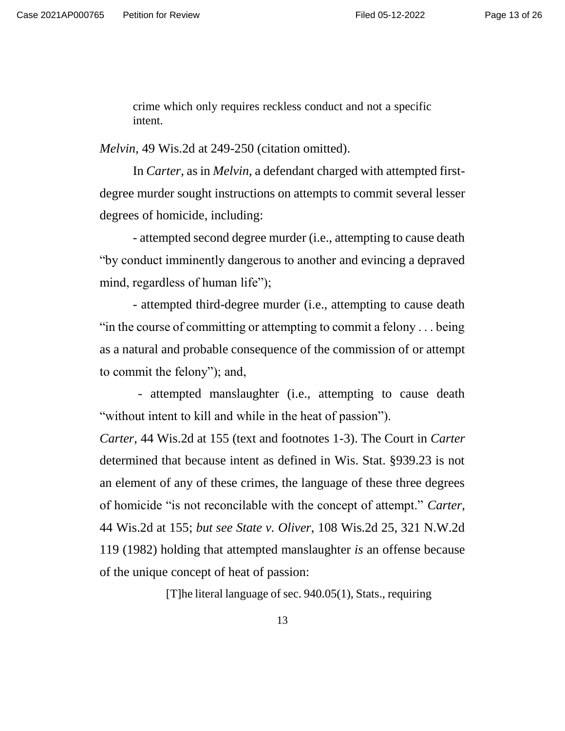crime which only requires reckless conduct and not a specific intent.

*Melvin*, 49 Wis.2d at 249-250 (citation omitted).

In *Carter*, as in *Melvin*, a defendant charged with attempted firstdegree murder sought instructions on attempts to commit several lesser degrees of homicide, including:

- attempted second degree murder (i.e., attempting to cause death "by conduct imminently dangerous to another and evincing a depraved mind, regardless of human life");

- attempted third-degree murder (i.e., attempting to cause death "in the course of committing or attempting to commit a felony . . . being as a natural and probable consequence of the commission of or attempt to commit the felony"); and,

- attempted manslaughter (i.e., attempting to cause death "without intent to kill and while in the heat of passion").

*Carter*, 44 Wis.2d at 155 (text and footnotes 1-3). The Court in *Carter* determined that because intent as defined in Wis. Stat. §939.23 is not an element of any of these crimes, the language of these three degrees of homicide "is not reconcilable with the concept of attempt." *Carter*, 44 Wis.2d at 155; *but see State v. Oliver*, 108 Wis.2d 25, 321 N.W.2d 119 (1982) holding that attempted manslaughter *is* an offense because of the unique concept of heat of passion:

[T]he literal language of sec. 940.05(1), Stats., requiring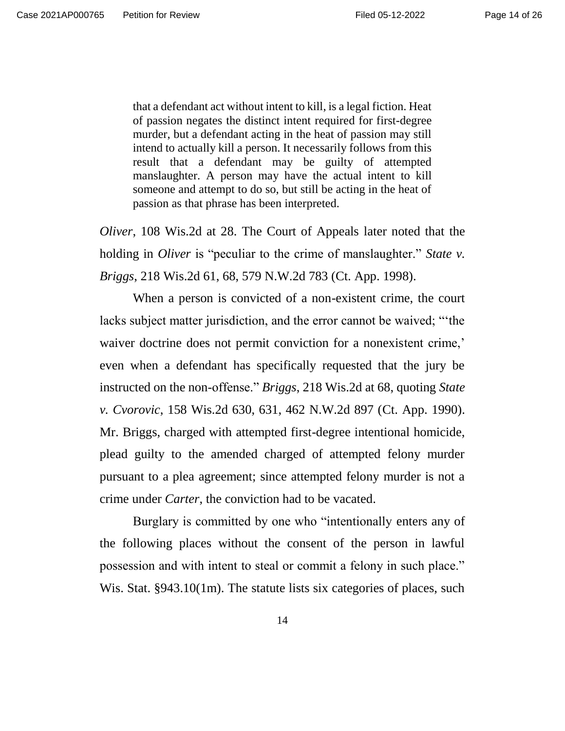that a defendant act without intent to kill, is a legal fiction. Heat of passion negates the distinct intent required for first-degree murder, but a defendant acting in the heat of passion may still intend to actually kill a person. It necessarily follows from this result that a defendant may be guilty of attempted manslaughter. A person may have the actual intent to kill someone and attempt to do so, but still be acting in the heat of passion as that phrase has been interpreted.

*Oliver*, 108 Wis.2d at 28. The Court of Appeals later noted that the holding in *Oliver* is "peculiar to the crime of manslaughter." *State v. Briggs*, 218 Wis.2d 61, 68, 579 N.W.2d 783 (Ct. App. 1998).

When a person is convicted of a non-existent crime, the court lacks subject matter jurisdiction, and the error cannot be waived; "'the waiver doctrine does not permit conviction for a nonexistent crime,' even when a defendant has specifically requested that the jury be instructed on the non-offense." *Briggs*, 218 Wis.2d at 68, quoting *State v. Cvorovic*, 158 Wis.2d 630, 631, 462 N.W.2d 897 (Ct. App. 1990). Mr. Briggs, charged with attempted first-degree intentional homicide, plead guilty to the amended charged of attempted felony murder pursuant to a plea agreement; since attempted felony murder is not a crime under *Carter*, the conviction had to be vacated.

Burglary is committed by one who "intentionally enters any of the following places without the consent of the person in lawful possession and with intent to steal or commit a felony in such place." Wis. Stat. §943.10(1m). The statute lists six categories of places, such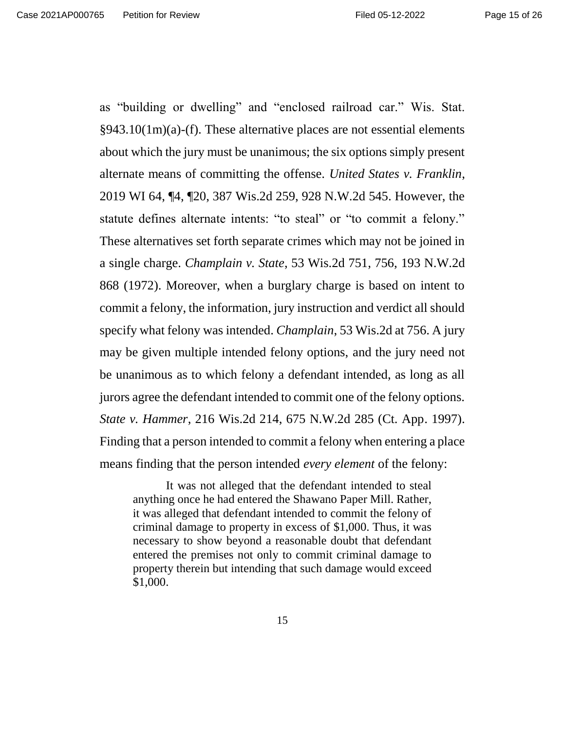as "building or dwelling" and "enclosed railroad car." Wis. Stat. §943.10(1m)(a)-(f). These alternative places are not essential elements about which the jury must be unanimous; the six options simply present alternate means of committing the offense. *United States v. Franklin*, 2019 WI 64, ¶4, ¶20, 387 Wis.2d 259, 928 N.W.2d 545. However, the statute defines alternate intents: "to steal" or "to commit a felony." These alternatives set forth separate crimes which may not be joined in a single charge. *Champlain v. State*, 53 Wis.2d 751, 756, 193 N.W.2d 868 (1972). Moreover, when a burglary charge is based on intent to commit a felony, the information, jury instruction and verdict all should specify what felony was intended. *Champlain*, 53 Wis.2d at 756. A jury may be given multiple intended felony options, and the jury need not be unanimous as to which felony a defendant intended, as long as all jurors agree the defendant intended to commit one of the felony options. *State v. Hammer*, 216 Wis.2d 214, 675 N.W.2d 285 (Ct. App. 1997). Finding that a person intended to commit a felony when entering a place means finding that the person intended *every element* of the felony:

It was not alleged that the defendant intended to steal anything once he had entered the Shawano Paper Mill. Rather, it was alleged that defendant intended to commit the felony of criminal damage to property in excess of \$1,000. Thus, it was necessary to show beyond a reasonable doubt that defendant entered the premises not only to commit criminal damage to property therein but intending that such damage would exceed \$1,000.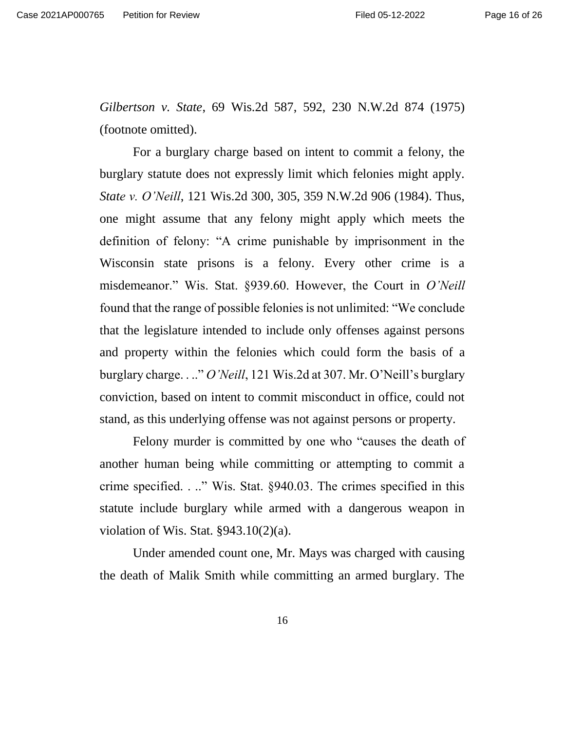*Gilbertson v. State*, 69 Wis.2d 587, 592, 230 N.W.2d 874 (1975) (footnote omitted).

For a burglary charge based on intent to commit a felony, the burglary statute does not expressly limit which felonies might apply. *State v. O'Neill*, 121 Wis.2d 300, 305, 359 N.W.2d 906 (1984). Thus, one might assume that any felony might apply which meets the definition of felony: "A crime punishable by imprisonment in the Wisconsin state prisons is a felony. Every other crime is a misdemeanor." Wis. Stat. §939.60. However, the Court in *O'Neill* found that the range of possible felonies is not unlimited: "We conclude that the legislature intended to include only offenses against persons and property within the felonies which could form the basis of a burglary charge. . .." *O'Neill*, 121 Wis.2d at 307. Mr. O'Neill's burglary conviction, based on intent to commit misconduct in office, could not stand, as this underlying offense was not against persons or property.

Felony murder is committed by one who "causes the death of another human being while committing or attempting to commit a crime specified. . .." Wis. Stat. §940.03. The crimes specified in this statute include burglary while armed with a dangerous weapon in violation of Wis. Stat. §943.10(2)(a).

Under amended count one, Mr. Mays was charged with causing the death of Malik Smith while committing an armed burglary. The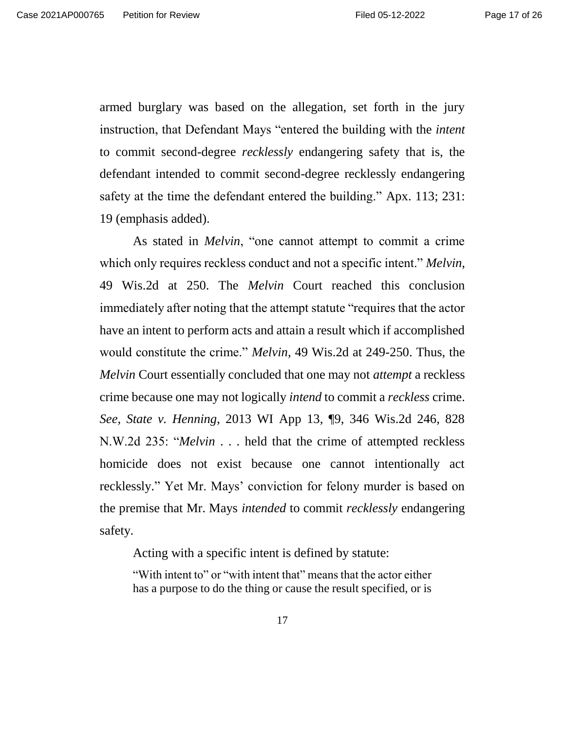armed burglary was based on the allegation, set forth in the jury instruction, that Defendant Mays "entered the building with the *intent*  to commit second-degree *recklessly* endangering safety that is, the defendant intended to commit second-degree recklessly endangering safety at the time the defendant entered the building." Apx. 113; 231: 19 (emphasis added).

As stated in *Melvin*, "one cannot attempt to commit a crime which only requires reckless conduct and not a specific intent." *Melvin*, 49 Wis.2d at 250. The *Melvin* Court reached this conclusion immediately after noting that the attempt statute "requires that the actor have an intent to perform acts and attain a result which if accomplished would constitute the crime." *Melvin*, 49 Wis.2d at 249-250. Thus, the *Melvin* Court essentially concluded that one may not *attempt* a reckless crime because one may not logically *intend* to commit a *reckless* crime. *See, State v. Henning*, 2013 WI App 13, ¶9, 346 Wis.2d 246, 828 N.W.2d 235: "*Melvin* . . . held that the crime of attempted reckless homicide does not exist because one cannot intentionally act recklessly." Yet Mr. Mays' conviction for felony murder is based on the premise that Mr. Mays *intended* to commit *recklessly* endangering safety.

Acting with a specific intent is defined by statute:

"With intent to" or "with intent that" means that the actor either has a purpose to do the thing or cause the result specified, or is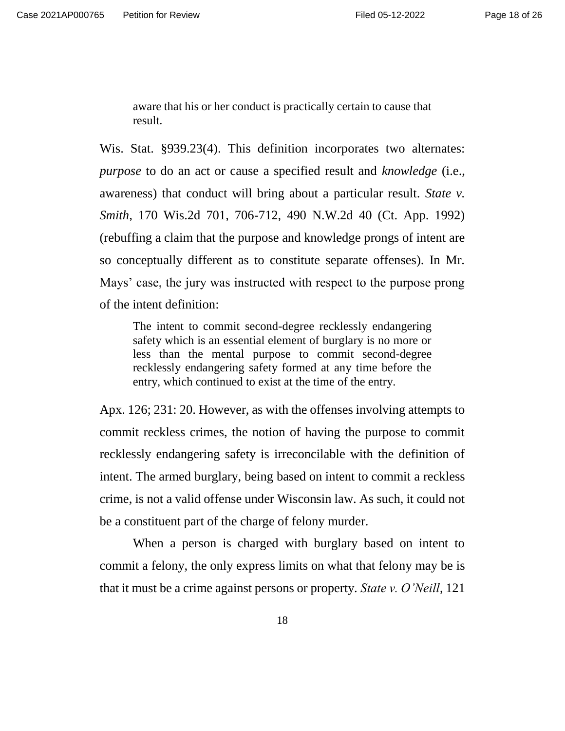aware that his or her conduct is practically certain to cause that result.

Wis. Stat. §939.23(4). This definition incorporates two alternates: *purpose* to do an act or cause a specified result and *knowledge* (i.e., awareness) that conduct will bring about a particular result. *State v. Smith*, 170 Wis.2d 701, 706-712, 490 N.W.2d 40 (Ct. App. 1992) (rebuffing a claim that the purpose and knowledge prongs of intent are so conceptually different as to constitute separate offenses). In Mr. Mays' case, the jury was instructed with respect to the purpose prong of the intent definition:

The intent to commit second-degree recklessly endangering safety which is an essential element of burglary is no more or less than the mental purpose to commit second-degree recklessly endangering safety formed at any time before the entry, which continued to exist at the time of the entry.

Apx. 126; 231: 20. However, as with the offenses involving attempts to commit reckless crimes, the notion of having the purpose to commit recklessly endangering safety is irreconcilable with the definition of intent. The armed burglary, being based on intent to commit a reckless crime, is not a valid offense under Wisconsin law. As such, it could not be a constituent part of the charge of felony murder.

When a person is charged with burglary based on intent to commit a felony, the only express limits on what that felony may be is that it must be a crime against persons or property. *State v. O'Neill*, 121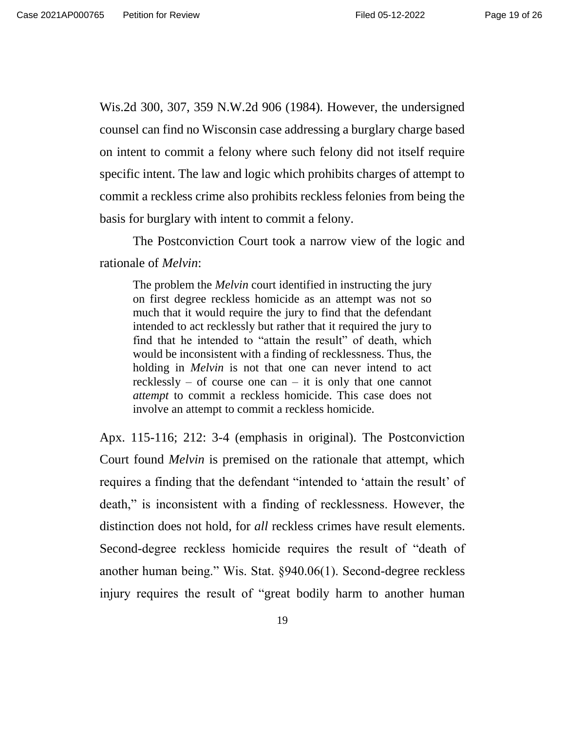Wis.2d 300, 307, 359 N.W.2d 906 (1984). However, the undersigned counsel can find no Wisconsin case addressing a burglary charge based on intent to commit a felony where such felony did not itself require specific intent. The law and logic which prohibits charges of attempt to commit a reckless crime also prohibits reckless felonies from being the basis for burglary with intent to commit a felony.

The Postconviction Court took a narrow view of the logic and rationale of *Melvin*:

The problem the *Melvin* court identified in instructing the jury on first degree reckless homicide as an attempt was not so much that it would require the jury to find that the defendant intended to act recklessly but rather that it required the jury to find that he intended to "attain the result" of death, which would be inconsistent with a finding of recklessness. Thus, the holding in *Melvin* is not that one can never intend to act recklessly – of course one can – it is only that one cannot *attempt* to commit a reckless homicide. This case does not involve an attempt to commit a reckless homicide.

Apx. 115-116; 212: 3-4 (emphasis in original). The Postconviction Court found *Melvin* is premised on the rationale that attempt, which requires a finding that the defendant "intended to 'attain the result' of death," is inconsistent with a finding of recklessness. However, the distinction does not hold, for *all* reckless crimes have result elements. Second-degree reckless homicide requires the result of "death of another human being." Wis. Stat. §940.06(1). Second-degree reckless injury requires the result of "great bodily harm to another human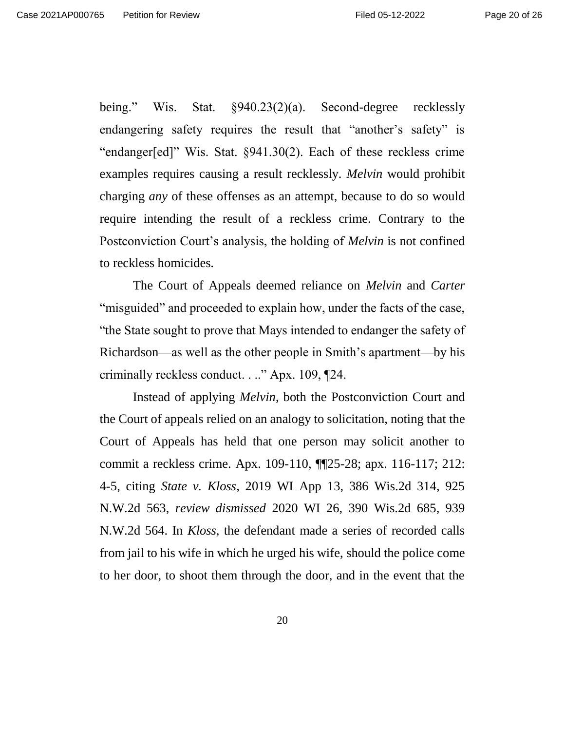being." Wis. Stat. §940.23(2)(a). Second-degree recklessly endangering safety requires the result that "another's safety" is "endanger[ed]" Wis. Stat. §941.30(2). Each of these reckless crime examples requires causing a result recklessly. *Melvin* would prohibit charging *any* of these offenses as an attempt, because to do so would require intending the result of a reckless crime. Contrary to the Postconviction Court's analysis, the holding of *Melvin* is not confined to reckless homicides.

The Court of Appeals deemed reliance on *Melvin* and *Carter* "misguided" and proceeded to explain how, under the facts of the case, "the State sought to prove that Mays intended to endanger the safety of Richardson—as well as the other people in Smith's apartment—by his criminally reckless conduct. . .." Apx. 109, ¶24.

Instead of applying *Melvin*, both the Postconviction Court and the Court of appeals relied on an analogy to solicitation, noting that the Court of Appeals has held that one person may solicit another to commit a reckless crime. Apx. 109-110, ¶¶25-28; apx. 116-117; 212: 4-5, citing *State v. Kloss*, 2019 WI App 13, 386 Wis.2d 314, 925 N.W.2d 563, *review dismissed* 2020 WI 26, 390 Wis.2d 685, 939 N.W.2d 564. In *Kloss*, the defendant made a series of recorded calls from jail to his wife in which he urged his wife, should the police come to her door, to shoot them through the door, and in the event that the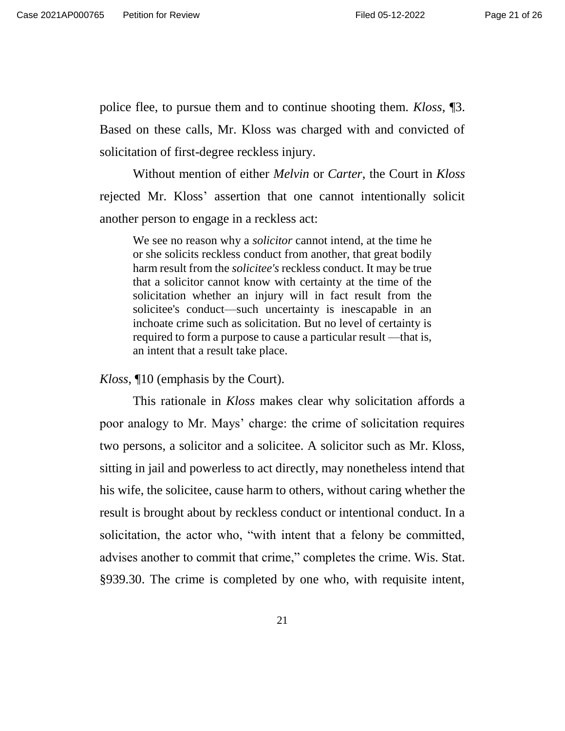police flee, to pursue them and to continue shooting them. *Kloss*, ¶3. Based on these calls, Mr. Kloss was charged with and convicted of solicitation of first-degree reckless injury.

Without mention of either *Melvin* or *Carter*, the Court in *Kloss* rejected Mr. Kloss' assertion that one cannot intentionally solicit another person to engage in a reckless act:

We see no reason why a *solicitor* cannot intend, at the time he or she solicits reckless conduct from another, that great bodily harm result from the *solicitee's* reckless conduct. It may be true that a solicitor cannot know with certainty at the time of the solicitation whether an injury will in fact result from the solicitee's conduct—such uncertainty is inescapable in an inchoate crime such as solicitation. But no level of certainty is required to form a purpose to cause a particular result —that is, an intent that a result take place.

*Kloss*, ¶10 (emphasis by the Court).

This rationale in *Kloss* makes clear why solicitation affords a poor analogy to Mr. Mays' charge: the crime of solicitation requires two persons, a solicitor and a solicitee. A solicitor such as Mr. Kloss, sitting in jail and powerless to act directly, may nonetheless intend that his wife, the solicitee, cause harm to others, without caring whether the result is brought about by reckless conduct or intentional conduct. In a solicitation, the actor who, "with intent that a felony be committed, advises another to commit that crime," completes the crime. Wis. Stat. §939.30. The crime is completed by one who, with requisite intent,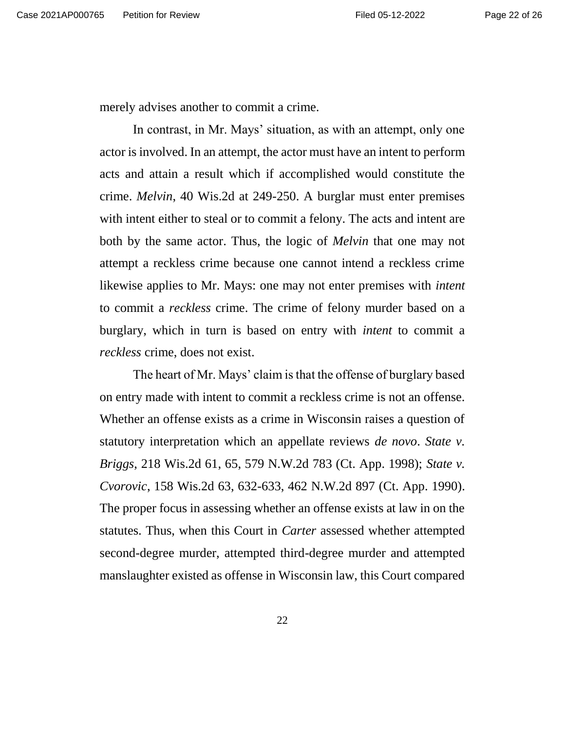merely advises another to commit a crime.

In contrast, in Mr. Mays' situation, as with an attempt, only one actor is involved. In an attempt, the actor must have an intent to perform acts and attain a result which if accomplished would constitute the crime. *Melvin*, 40 Wis.2d at 249-250. A burglar must enter premises with intent either to steal or to commit a felony. The acts and intent are both by the same actor. Thus, the logic of *Melvin* that one may not attempt a reckless crime because one cannot intend a reckless crime likewise applies to Mr. Mays: one may not enter premises with *intent* to commit a *reckless* crime. The crime of felony murder based on a burglary, which in turn is based on entry with *intent* to commit a *reckless* crime, does not exist.

The heart of Mr. Mays' claim is that the offense of burglary based on entry made with intent to commit a reckless crime is not an offense. Whether an offense exists as a crime in Wisconsin raises a question of statutory interpretation which an appellate reviews *de novo*. *State v. Briggs*, 218 Wis.2d 61, 65, 579 N.W.2d 783 (Ct. App. 1998); *State v. Cvorovic*, 158 Wis.2d 63, 632-633, 462 N.W.2d 897 (Ct. App. 1990). The proper focus in assessing whether an offense exists at law in on the statutes. Thus, when this Court in *Carter* assessed whether attempted second-degree murder, attempted third-degree murder and attempted manslaughter existed as offense in Wisconsin law, this Court compared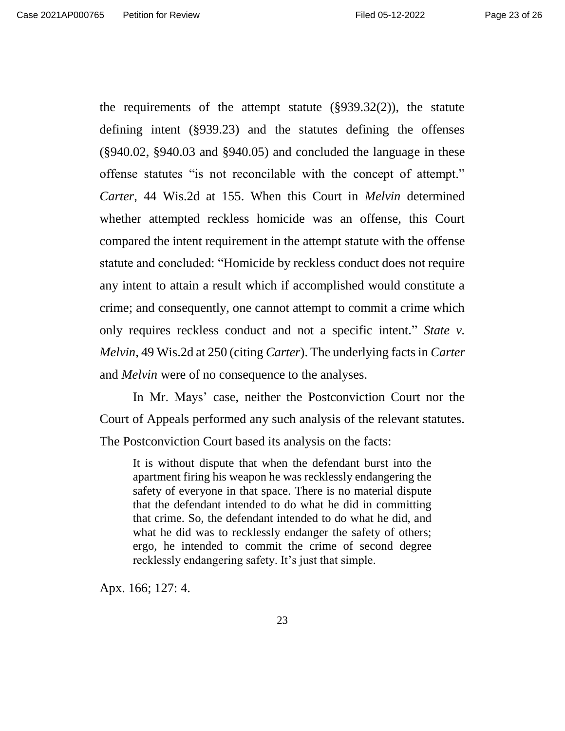the requirements of the attempt statute  $(\S 939.32(2))$ , the statute defining intent (§939.23) and the statutes defining the offenses (§940.02, §940.03 and §940.05) and concluded the language in these offense statutes "is not reconcilable with the concept of attempt." *Carter*, 44 Wis.2d at 155. When this Court in *Melvin* determined whether attempted reckless homicide was an offense, this Court compared the intent requirement in the attempt statute with the offense statute and concluded: "Homicide by reckless conduct does not require any intent to attain a result which if accomplished would constitute a crime; and consequently, one cannot attempt to commit a crime which only requires reckless conduct and not a specific intent." *State v. Melvin*, 49 Wis.2d at 250 (citing *Carter*). The underlying facts in *Carter* and *Melvin* were of no consequence to the analyses.

In Mr. Mays' case, neither the Postconviction Court nor the Court of Appeals performed any such analysis of the relevant statutes. The Postconviction Court based its analysis on the facts:

It is without dispute that when the defendant burst into the apartment firing his weapon he was recklessly endangering the safety of everyone in that space. There is no material dispute that the defendant intended to do what he did in committing that crime. So, the defendant intended to do what he did, and what he did was to recklessly endanger the safety of others; ergo, he intended to commit the crime of second degree recklessly endangering safety. It's just that simple.

Apx. 166; 127: 4.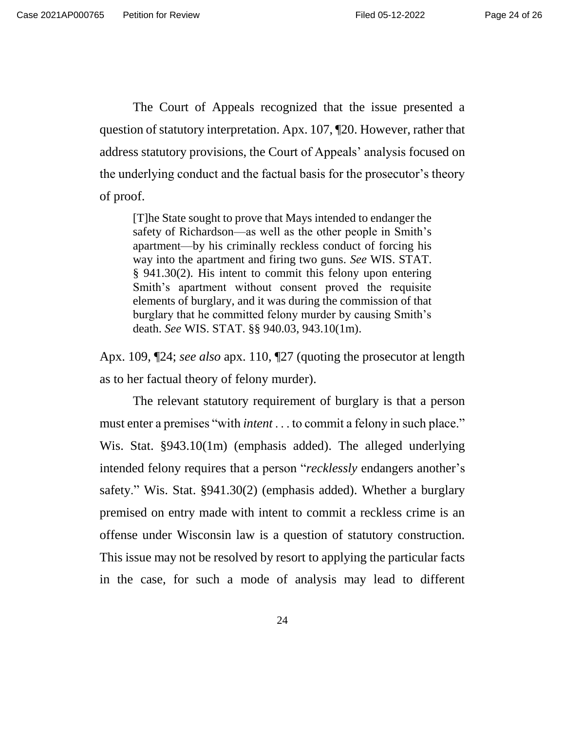The Court of Appeals recognized that the issue presented a question of statutory interpretation. Apx. 107, ¶20. However, rather that address statutory provisions, the Court of Appeals' analysis focused on the underlying conduct and the factual basis for the prosecutor's theory of proof.

[T]he State sought to prove that Mays intended to endanger the safety of Richardson—as well as the other people in Smith's apartment—by his criminally reckless conduct of forcing his way into the apartment and firing two guns. *See* WIS. STAT. § 941.30(2). His intent to commit this felony upon entering Smith's apartment without consent proved the requisite elements of burglary, and it was during the commission of that burglary that he committed felony murder by causing Smith's death. *See* WIS. STAT. §§ 940.03, 943.10(1m).

Apx. 109, ¶24; *see also* apx. 110, ¶27 (quoting the prosecutor at length as to her factual theory of felony murder).

The relevant statutory requirement of burglary is that a person must enter a premises "with *intent* . . . to commit a felony in such place." Wis. Stat. §943.10(1m) (emphasis added). The alleged underlying intended felony requires that a person "*recklessly* endangers another's safety." Wis. Stat. §941.30(2) (emphasis added). Whether a burglary premised on entry made with intent to commit a reckless crime is an offense under Wisconsin law is a question of statutory construction. This issue may not be resolved by resort to applying the particular facts in the case, for such a mode of analysis may lead to different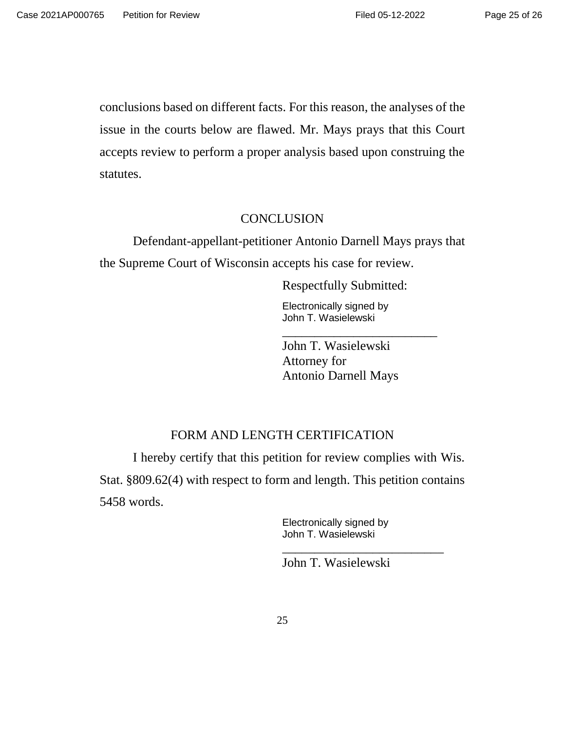conclusions based on different facts. For this reason, the analyses of the issue in the courts below are flawed. Mr. Mays prays that this Court accepts review to perform a proper analysis based upon construing the statutes.

## **CONCLUSION**

Defendant-appellant-petitioner Antonio Darnell Mays prays that the Supreme Court of Wisconsin accepts his case for review.

Respectfully Submitted:

Electronically signed by John T. Wasielewski

John T. Wasielewski Attorney for Antonio Darnell Mays

\_\_\_\_\_\_\_\_\_\_\_\_\_\_\_\_\_\_\_\_\_\_\_\_

# FORM AND LENGTH CERTIFICATION

I hereby certify that this petition for review complies with Wis. Stat. §809.62(4) with respect to form and length. This petition contains 5458 words.

> Electronically signed by John T. Wasielewski

John T. Wasielewski

\_\_\_\_\_\_\_\_\_\_\_\_\_\_\_\_\_\_\_\_\_\_\_\_\_